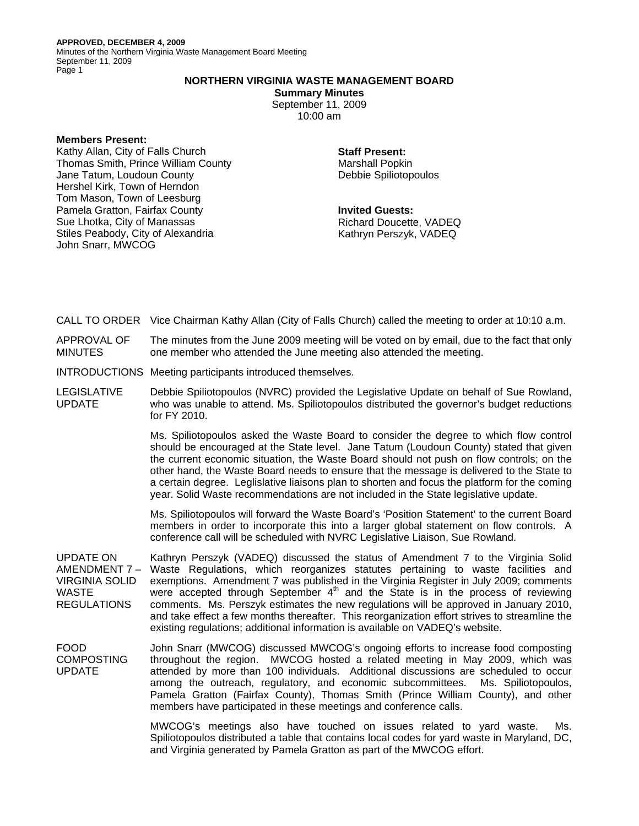Minutes of the Northern Virginia Waste Management Board Meeting September 11, 2009 Page 1

## **NORTHERN VIRGINIA WASTE MANAGEMENT BOARD**

**Summary Minutes** 

September 11, 2009 10:00 am

## **Members Present:**

Kathy Allan, City of Falls Church Thomas Smith, Prince William County Jane Tatum, Loudoun County Hershel Kirk, Town of Herndon Tom Mason, Town of Leesburg Pamela Gratton, Fairfax County Sue Lhotka, City of Manassas Stiles Peabody, City of Alexandria John Snarr, MWCOG

**Staff Present:**  Marshall Popkin Debbie Spiliotopoulos

**Invited Guests:**  Richard Doucette, VADEQ Kathryn Perszyk, VADEQ

CALL TO ORDER Vice Chairman Kathy Allan (City of Falls Church) called the meeting to order at 10:10 a.m.

APPROVAL OF MINUTES The minutes from the June 2009 meeting will be voted on by email, due to the fact that only one member who attended the June meeting also attended the meeting.

INTRODUCTIONS Meeting participants introduced themselves.

LEGISLATIVE UPDATE Debbie Spiliotopoulos (NVRC) provided the Legislative Update on behalf of Sue Rowland, who was unable to attend. Ms. Spiliotopoulos distributed the governor's budget reductions for FY 2010.

> Ms. Spiliotopoulos asked the Waste Board to consider the degree to which flow control should be encouraged at the State level. Jane Tatum (Loudoun County) stated that given the current economic situation, the Waste Board should not push on flow controls; on the other hand, the Waste Board needs to ensure that the message is delivered to the State to a certain degree. Leglislative liaisons plan to shorten and focus the platform for the coming year. Solid Waste recommendations are not included in the State legislative update.

> Ms. Spiliotopoulos will forward the Waste Board's 'Position Statement' to the current Board members in order to incorporate this into a larger global statement on flow controls. A conference call will be scheduled with NVRC Legislative Liaison, Sue Rowland.

UPDATE ON AMENDMENT 7 – VIRGINIA SOLID WASTE **REGULATIONS** Kathryn Perszyk (VADEQ) discussed the status of Amendment 7 to the Virginia Solid Waste Regulations, which reorganizes statutes pertaining to waste facilities and exemptions. Amendment 7 was published in the Virginia Register in July 2009; comments were accepted through September  $4<sup>th</sup>$  and the State is in the process of reviewing comments. Ms. Perszyk estimates the new regulations will be approved in January 2010, and take effect a few months thereafter. This reorganization effort strives to streamline the existing regulations; additional information is available on VADEQ's website.

FOOD **COMPOSTING** UPDATE John Snarr (MWCOG) discussed MWCOG's ongoing efforts to increase food composting throughout the region. MWCOG hosted a related meeting in May 2009, which was attended by more than 100 individuals. Additional discussions are scheduled to occur among the outreach, regulatory, and economic subcommittees. Ms. Spiliotopoulos, Pamela Gratton (Fairfax County), Thomas Smith (Prince William County), and other members have participated in these meetings and conference calls.

> MWCOG's meetings also have touched on issues related to yard waste. Ms. Spiliotopoulos distributed a table that contains local codes for yard waste in Maryland, DC, and Virginia generated by Pamela Gratton as part of the MWCOG effort.